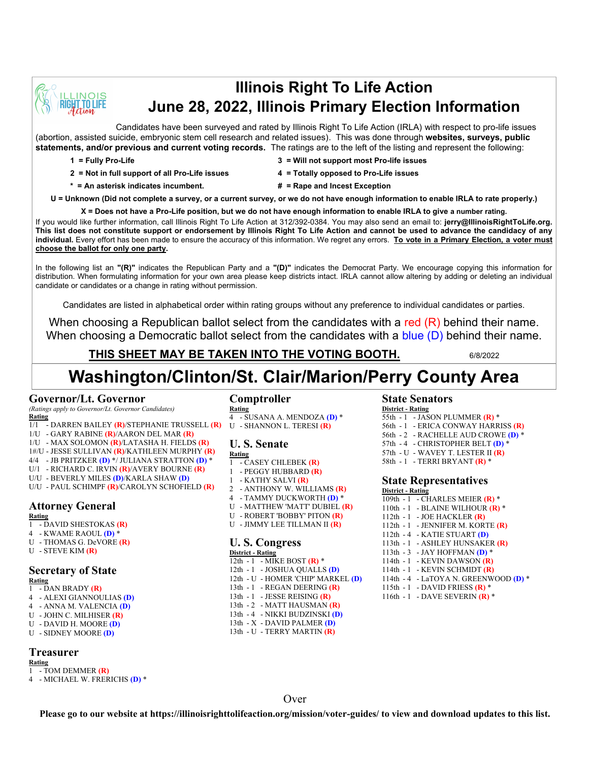

# **Illinois Right To Life Action June 28, 2022, Illinois Primary Election Information**

Candidates have been surveyed and rated by Illinois Right To Life Action (IRLA) with respect to pro-life issues (abortion, assisted suicide, embryonic stem cell research and related issues). This was done through **websites, surveys, public statements, and/or previous and current voting records.** The ratings are to the left of the listing and represent the following:

- 
- **1 = Fully Pro-Life 3 = Will not support most Pro-life issues**
- 
- **2 = Not in full support of all Pro-Life issues 4 = Totally opposed to Pro-Life issues**
- **\* = An asterisk indicates incumbent. # = Rape and Incest Exception**
- -

**U = Unknown (Did not complete a survey, or a current survey, or we do not have enough information to enable IRLA to rate properly.)**

**X = Does not have a Pro-Life position, but we do not have enough information to enable IRLA to give a number rating.** 

If you would like further information, call Illinois Right To Life Action at 312/392-0384. You may also send an email to: **jerry@IllinoisRightToLife.org. This list does not constitute support or endorsement by Illinois Right To Life Action and cannot be used to advance the candidacy of any individual.** Every effort has been made to ensure the accuracy of this information. We regret any errors. **To vote in a Primary Election, a voter must choose the ballot for only one party.**

In the following list an **"(R)"** indicates the Republican Party and a **"(D)"** indicates the Democrat Party. We encourage copying this information for distribution. When formulating information for your own area please keep districts intact. IRLA cannot allow altering by adding or deleting an individual candidate or candidates or a change in rating without permission.

Candidates are listed in alphabetical order within rating groups without any preference to individual candidates or parties.

When choosing a Republican ballot select from the candidates with a red (R) behind their name. When choosing a Democratic ballot select from the candidates with a blue (D) behind their name.

# **THIS SHEET MAY BE TAKEN INTO THE VOTING BOOTH.** 6/8/2022

# **Washington/Clinton/St. Clair/Marion/Perry County Area**

#### **Governor/Lt. Governor**

*(Ratings apply to Governor/Lt. Governor Candidates)* **Rating**

- 1/1 DARREN BAILEY **(R)**/STEPHANIE TRUSSELL **(R)**
- 1/U GARY RABINE **(R)**/AARON DEL MAR **(R)**
- 1/U MAX SOLOMON **(R)**/LATASHA H. FIELDS **(R)**
- 1#/U JESSE SULLIVAN **(R)**/KATHLEEN MURPHY **(R)**
- 4/4 JB PRITZKER **(D)** \*/ JULIANA STRATTON **(D)** \*
- U/1 RICHARD C. IRVIN **(R)**/AVERY BOURNE **(R)**
- U/U BEVERLY MILES **(D)**/KARLA SHAW **(D)**
- U/U PAUL SCHIMPF **(R)**/CAROLYN SCHOFIELD **(R)**

# **Attorney General**

#### **Rating**

- 1 DAVID SHESTOKAS **(R)**
- 4 KWAME RAOUL **(D)** \*
- U THOMAS G. DeVORE **(R)**
- U STEVE KIM **(R)**

# **Secretary of State**

**Rating**  $\overline{1 - D}$ AN BRADY  $(R)$ 

- 4 ALEXI GIANNOULIAS **(D)**
- 4 ANNA M. VALENCIA **(D)**
- U JOHN C. MILHISER **(R)**
- U DAVID H. MOORE **(D)**
- U SIDNEY MOORE **(D)**

### **Treasurer**

**Rating** 1 - TOM DEMMER **(R)**

4 - MICHAEL W. FRERICHS **(D)** \*

### **Comptroller**

**Rating** 4 - SUSANA A. MENDOZA **(D)** \* U - SHANNON L. TERESI **(R)**

# **U. S. Senate**

- **Rating** 1 - CASEY CHLEBEK **(R)**
- 1 PEGGY HUBBARD **(R)**
- 1 KATHY SALVI **(R)**
- 2 ANTHONY W. WILLIAMS **(R)**
- 4 TAMMY DUCKWORTH **(D)** \*
- U MATTHEW 'MATT' DUBIEL **(R)**
- U ROBERT 'BOBBY' PITON **(R)**
- U JIMMY LEE TILLMAN II **(R)**

#### **U. S. Congress District - Rating**

12th - 1 - MIKE BOST **(R)** \* 12th - 1 - JOSHUA QUALLS **(D)** 12th - U - HOMER 'CHIP' MARKEL **(D)** 13th - 1 - REGAN DEERING **(R)** 13th - 1 - JESSE REISING **(R)** 13th - 2 - MATT HAUSMAN **(R)** 13th - 4 - NIKKI BUDZINSKI **(D)** 13th - X - DAVID PALMER **(D)** 13th - U - TERRY MARTIN **(R)**

**State Senators**

| <b>District - Rating</b> |  |                                     |
|--------------------------|--|-------------------------------------|
|                          |  | 55th - $1 -$ JASON PLUMMER (R) *    |
|                          |  | 56th - 1 - ERICA CONWAY HARRISS (R) |
|                          |  | 56th - 2 - RACHELLE AUD CROWE (D) * |
|                          |  | 57th - 4 - CHRISTOPHER BELT (D) *   |
|                          |  | 57th - U - WAVEY T. LESTER II $(R)$ |
|                          |  | 58th - 1 - TERRI BRYANT $(R)$ *     |

## **State Representatives**

**District - Rating**

109th - 1 - CHARLES MEIER **(R)** \* 110th - 1 - BLAINE WILHOUR **(R)** \* 112th - 1 - JOE HACKLER **(R)** 112th - 1 - JENNIFER M. KORTE **(R)** 112th - 4 - KATIE STUART **(D)** 113th - 1 - ASHLEY HUNSAKER **(R)** 113th - 3 - JAY HOFFMAN **(D)** \* 114th - 1 - KEVIN DAWSON **(R)** 114th - 1 - KEVIN SCHMIDT **(R)** 114th - 4 - LaTOYA N. GREENWOOD **(D)** \* 115th - 1 - DAVID FRIESS **(R)** \* 116th - 1 - DAVE SEVERIN **(R)** \*

**Over**